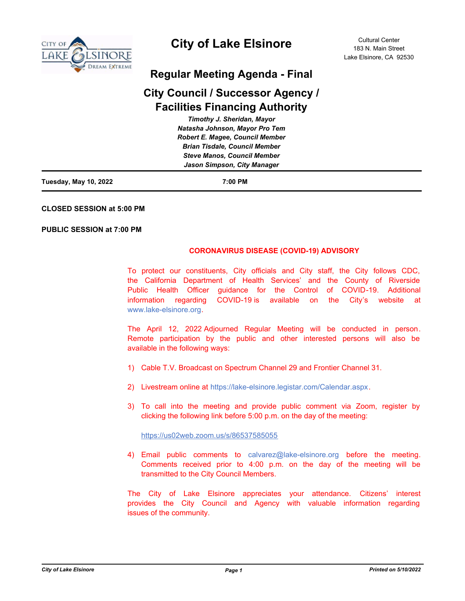

# **City of Lake Elsinore**

# **Regular Meeting Agenda - Final**

# **City Council / Successor Agency / Facilities Financing Authority**

| Timothy J. Sheridan, Mayor             |  |
|----------------------------------------|--|
| Natasha Johnson, Mayor Pro Tem         |  |
| <b>Robert E. Magee, Council Member</b> |  |
| <b>Brian Tisdale, Council Member</b>   |  |
| <b>Steve Manos, Council Member</b>     |  |
| Jason Simpson, City Manager            |  |
|                                        |  |

**Tuesday, May 10, 2022 7:00 PM**

**CLOSED SESSION at 5:00 PM**

**PUBLIC SESSION at 7:00 PM**

### **CORONAVIRUS DISEASE (COVID-19) ADVISORY**

To protect our constituents, City officials and City staff, the City follows CDC, the California Department of Health Services' and the County of Riverside Public Health Officer guidance for the Control of COVID-19. Additional information regarding COVID-19 is available on the City's website at www.lake-elsinore.org.

The April 12, 2022 Adjourned Regular Meeting will be conducted in person. Remote participation by the public and other interested persons will also be available in the following ways:

- 1) Cable T.V. Broadcast on Spectrum Channel 29 and Frontier Channel 31.
- 2) Livestream online at https://lake-elsinore.legistar.com/Calendar.aspx.
- 3) To call into the meeting and provide public comment via Zoom, register by clicking the following link before 5:00 p.m. on the day of the meeting:

### https://us02web.zoom.us/s/86537585055

4) Email public comments to calvarez@lake-elsinore.org before the meeting. Comments received prior to 4:00 p.m. on the day of the meeting will be transmitted to the City Council Members.

The City of Lake Elsinore appreciates your attendance. Citizens' interest provides the City Council and Agency with valuable information regarding issues of the community.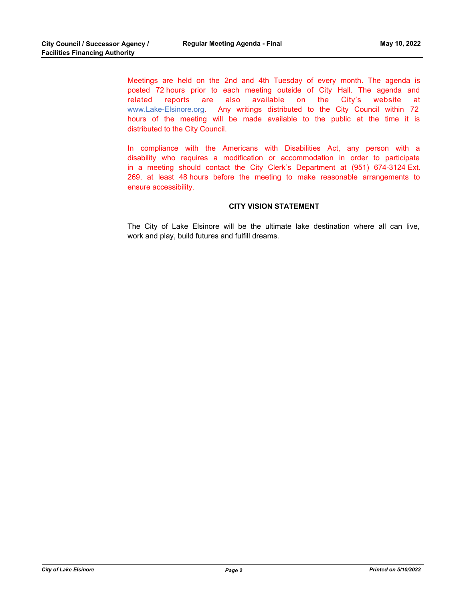Meetings are held on the 2nd and 4th Tuesday of every month. The agenda is posted 72 hours prior to each meeting outside of City Hall. The agenda and related reports are also available on the City's website at www.Lake-Elsinore.org. Any writings distributed to the City Council within 72 hours of the meeting will be made available to the public at the time it is distributed to the City Council.

In compliance with the Americans with Disabilities Act, any person with a disability who requires a modification or accommodation in order to participate in a meeting should contact the City Clerk's Department at (951) 674-3124 Ext. 269, at least 48 hours before the meeting to make reasonable arrangements to ensure accessibility.

### **CITY VISION STATEMENT**

The City of Lake Elsinore will be the ultimate lake destination where all can live, work and play, build futures and fulfill dreams.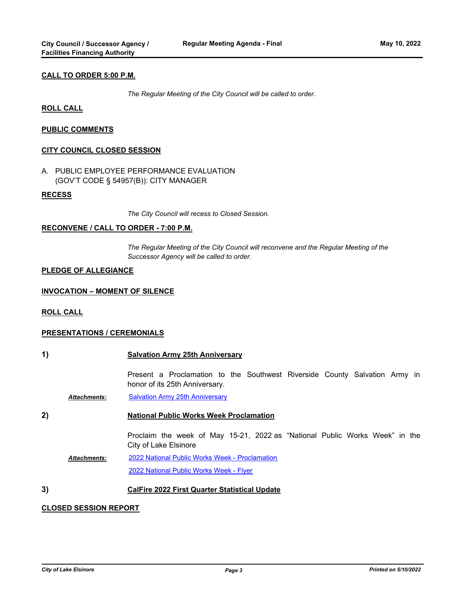### **CALL TO ORDER 5:00 P.M.**

*The Regular Meeting of the City Council will be called to order.*

#### **ROLL CALL**

### **PUBLIC COMMENTS**

#### **CITY COUNCIL CLOSED SESSION**

A. PUBLIC EMPLOYEE PERFORMANCE EVALUATION (GOV'T CODE § 54957(B)): CITY MANAGER

#### **RECESS**

*The City Council will recess to Closed Session.*

#### **RECONVENE / CALL TO ORDER - 7:00 P.M.**

*The Regular Meeting of the City Council will reconvene and the Regular Meeting of the Successor Agency will be called to order.*

#### **PLEDGE OF ALLEGIANCE**

#### **INVOCATION – MOMENT OF SILENCE**

**ROLL CALL**

#### **PRESENTATIONS / CEREMONIALS**

| 1) |                     | <b>Salvation Army 25th Anniversary</b>                                                                       |
|----|---------------------|--------------------------------------------------------------------------------------------------------------|
|    |                     | Present a Proclamation to the Southwest Riverside County Salvation Army in<br>honor of its 25th Anniversary. |
|    | <b>Attachments:</b> | <b>Salvation Army 25th Anniversary</b>                                                                       |
| 2) |                     | <b>National Public Works Week Proclamation</b>                                                               |
|    |                     | Proclaim the week of May 15-21, 2022 as "National Public Works Week" in the<br>City of Lake Elsinore         |
|    | <b>Attachments:</b> | 2022 National Public Works Week - Proclamation                                                               |
|    |                     | 2022 National Public Works Week - Flyer                                                                      |
|    |                     |                                                                                                              |

# **3) CalFire 2022 First Quarter Statistical Update**

#### **CLOSED SESSION REPORT**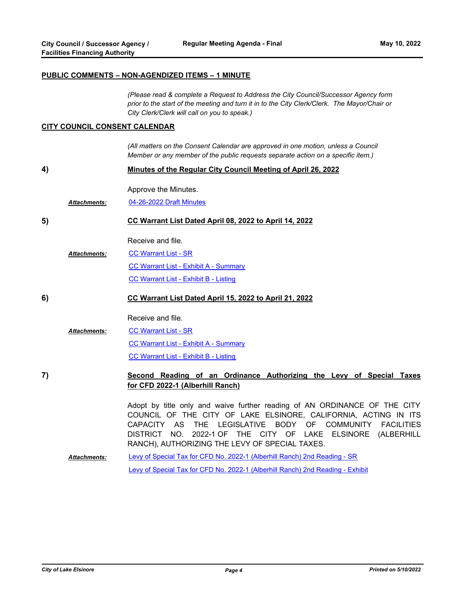#### **PUBLIC COMMENTS – NON-AGENDIZED ITEMS – 1 MINUTE**

*(Please read & complete a Request to Address the City Council/Successor Agency form prior to the start of the meeting and turn it in to the City Clerk/Clerk. The Mayor/Chair or City Clerk/Clerk will call on you to speak.)*

#### **CITY COUNCIL CONSENT CALENDAR**

*(All matters on the Consent Calendar are approved in one motion, unless a Council Member or any member of the public requests separate action on a specific item.)*

|--|

Approve the Minutes.

*Attachments:* [04-26-2022 Draft Minutes](http://lake-elsinore.legistar.com/gateway.aspx?M=F&ID=d2b89dac-5ba9-4028-86cc-5886be09d4fe.pdf)

#### **5) CC Warrant List Dated April 08, 2022 to April 14, 2022**

Receive and file.

[CC Warrant List - SR](http://lake-elsinore.legistar.com/gateway.aspx?M=F&ID=f248f8be-9ed0-4077-88af-ce8cdd851c1f.docx) [CC Warrant List - Exhibit A - Summary](http://lake-elsinore.legistar.com/gateway.aspx?M=F&ID=39fedd85-173d-4334-82fd-c238479d1d91.pdf) [CC Warrant List - Exhibit B - Listing](http://lake-elsinore.legistar.com/gateway.aspx?M=F&ID=eb8f1b5f-62da-44eb-a1cb-daa39bd4e8ea.pdf) *Attachments:*

**6) CC Warrant List Dated April 15, 2022 to April 21, 2022**

Receive and file.

- [CC Warrant List SR](http://lake-elsinore.legistar.com/gateway.aspx?M=F&ID=c67de296-e6b2-4331-b748-addd56a13bcd.docx) [CC Warrant List - Exhibit A - Summary](http://lake-elsinore.legistar.com/gateway.aspx?M=F&ID=ddd46845-8772-4fd5-b6cc-81c69ab8a0a8.pdf) [CC Warrant List - Exhibit B - Listing](http://lake-elsinore.legistar.com/gateway.aspx?M=F&ID=3ed05b45-f90d-4d04-85a2-7a25e79dedc1.pdf) *Attachments:*
- **7) Second Reading of an Ordinance Authorizing the Levy of Special Taxes for CFD 2022-1 (Alberhill Ranch)**

Adopt by title only and waive further reading of AN ORDINANCE OF THE CITY COUNCIL OF THE CITY OF LAKE ELSINORE, CALIFORNIA, ACTING IN ITS CAPACITY AS THE LEGISLATIVE BODY OF COMMUNITY FACILITIES DISTRICT NO. 2022-1 OF THE CITY OF LAKE ELSINORE (ALBERHILL RANCH), AUTHORIZING THE LEVY OF SPECIAL TAXES.

[Levy of Special Tax for CFD No. 2022-1 \(Alberhill Ranch\) 2nd Reading - SR](http://lake-elsinore.legistar.com/gateway.aspx?M=F&ID=928e43ca-9272-40dd-9d06-0db10e61d0c0.docx) [Levy of Special Tax for CFD No. 2022-1 \(Alberhill Ranch\) 2nd Reading - Exhibit](http://lake-elsinore.legistar.com/gateway.aspx?M=F&ID=215f7aea-6a48-4471-91a4-3bf54ebd701d.docx) *Attachments:*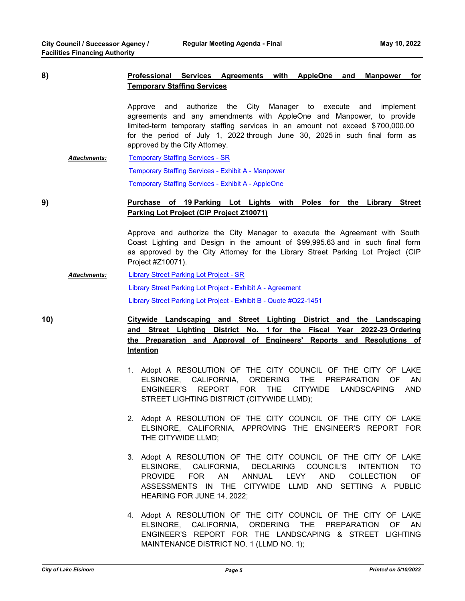# **8) Professional Services Agreements with AppleOne and Manpower for Temporary Staffing Services**

Approve and authorize the City Manager to execute and implement agreements and any amendments with AppleOne and Manpower, to provide limited-term temporary staffing services in an amount not exceed \$700,000.00 for the period of July 1, 2022 through June 30, 2025 in such final form as approved by the City Attorney.

[Temporary Staffing Services - SR](http://lake-elsinore.legistar.com/gateway.aspx?M=F&ID=a0f903d5-6b24-4d59-8937-768c6250a3f9.docx) [Temporary Staffing Services - Exhibit A - Manpower](http://lake-elsinore.legistar.com/gateway.aspx?M=F&ID=3105158f-e8b2-4b0b-83b9-653f8e171c5b.pdf) [Temporary Staffing Services - Exhibit A - AppleOne](http://lake-elsinore.legistar.com/gateway.aspx?M=F&ID=c9a0451f-0a36-4f6a-94d7-2652071d1264.pdf) *Attachments:*

## **9) Purchase of 19 Parking Lot Lights with Poles for the Library Street Parking Lot Project (CIP Project Z10071)**

Approve and authorize the City Manager to execute the Agreement with South Coast Lighting and Design in the amount of \$99,995.63 and in such final form as approved by the City Attorney for the Library Street Parking Lot Project (CIP Project #Z10071).

[Library Street Parking Lot Project - SR](http://lake-elsinore.legistar.com/gateway.aspx?M=F&ID=0c9ebc17-ec94-4a81-b893-1471db3150fa.docx) [Library Street Parking Lot Project - Exhibit A - Agreement](http://lake-elsinore.legistar.com/gateway.aspx?M=F&ID=b10f4a76-7a10-4f47-b2f3-cf111f5b14fd.pdf) [Library Street Parking Lot Project - Exhibit B - Quote #Q22-1451](http://lake-elsinore.legistar.com/gateway.aspx?M=F&ID=e41efd63-df5b-4005-ae6d-e9666719f049.pdf) *Attachments:*

**10) Citywide Landscaping and Street Lighting District and the Landscaping and Street Lighting District No. 1 for the Fiscal Year 2022-23 Ordering the Preparation and Approval of Engineers' Reports and Resolutions of Intention**

- 1. Adopt A RESOLUTION OF THE CITY COUNCIL OF THE CITY OF LAKE ELSINORE, CALIFORNIA, ORDERING THE PREPARATION OF AN ENGINEER'S REPORT FOR THE CITYWIDE LANDSCAPING AND STREET LIGHTING DISTRICT (CITYWIDE LLMD);
- 2. Adopt A RESOLUTION OF THE CITY COUNCIL OF THE CITY OF LAKE ELSINORE, CALIFORNIA, APPROVING THE ENGINEER'S REPORT FOR THE CITYWIDE LLMD;
- 3. Adopt A RESOLUTION OF THE CITY COUNCIL OF THE CITY OF LAKE ELSINORE, CALIFORNIA, DECLARING COUNCIL'S INTENTION TO PROVIDE FOR AN ANNUAL LEVY AND COLLECTION OF ASSESSMENTS IN THE CITYWIDE LLMD AND SETTING A PUBLIC HEARING FOR JUNE 14, 2022;
- 4. Adopt A RESOLUTION OF THE CITY COUNCIL OF THE CITY OF LAKE ELSINORE, CALIFORNIA, ORDERING THE PREPARATION OF AN ENGINEER'S REPORT FOR THE LANDSCAPING & STREET LIGHTING MAINTENANCE DISTRICT NO. 1 (LLMD NO. 1);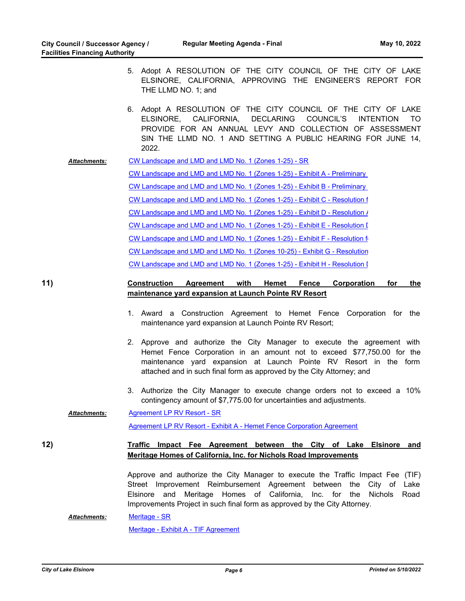- 5. Adopt A RESOLUTION OF THE CITY COUNCIL OF THE CITY OF LAKE ELSINORE, CALIFORNIA, APPROVING THE ENGINEER'S REPORT FOR THE LLMD NO. 1; and
- 6. Adopt A RESOLUTION OF THE CITY COUNCIL OF THE CITY OF LAKE ELSINORE, CALIFORNIA, DECLARING COUNCIL'S INTENTION TO PROVIDE FOR AN ANNUAL LEVY AND COLLECTION OF ASSESSMENT SIN THE LLMD NO. 1 AND SETTING A PUBLIC HEARING FOR JUNE 14, 2022.
- [CW Landscape and LMD and LMD No. 1 \(Zones 1-25\) SR](http://lake-elsinore.legistar.com/gateway.aspx?M=F&ID=c9a6cc97-6644-4aba-84b5-49c442887a7e.docx) *Attachments:*

CW Landscape and LMD and LMD No. 1 (Zones 1-25) - Exhibit A - Preliminary CW Landscape and LMD and LMD No. 1 (Zones 1-25) - Exhibit B - Preliminary [CW Landscape and LMD and LMD No. 1 \(Zones 1-25\) - Exhibit C - Resolution f](http://lake-elsinore.legistar.com/gateway.aspx?M=F&ID=015cba47-5071-41c7-a4dc-2d202ba36329.docx) CW Landscape and LMD and LMD No. 1 (Zones 1-25) - Exhibit D - Resolution / CW Landscape and LMD and LMD No. 1 (Zones 1-25) - Exhibit E - Resolution [ [CW Landscape and LMD and LMD No. 1 \(Zones 1-25\) - Exhibit F - Resolution fo](http://lake-elsinore.legistar.com/gateway.aspx?M=F&ID=ec6961ab-9f8c-4701-859b-82482d8a2f03.docx)r [CW Landscape and LMD and LMD No. 1 \(Zones 10-25\) - Exhibit G - Resolution](http://lake-elsinore.legistar.com/gateway.aspx?M=F&ID=d60819a5-b9a2-44c1-b5cd-2e83dbc2404b.docx) CW Landscape and LMD and LMD No. 1 (Zones 1-25) - Exhibit H - Resolution I

# **11) Construction Agreement with Hemet Fence Corporation for the maintenance yard expansion at Launch Pointe RV Resort**

- 1. Award a Construction Agreement to Hemet Fence Corporation for the maintenance yard expansion at Launch Pointe RV Resort;
- 2. Approve and authorize the City Manager to execute the agreement with Hemet Fence Corporation in an amount not to exceed \$77,750.00 for the maintenance yard expansion at Launch Pointe RV Resort in the form attached and in such final form as approved by the City Attorney; and
- 3. Authorize the City Manager to execute change orders not to exceed a 10% contingency amount of \$7,775.00 for uncertainties and adjustments.

[Agreement LP RV Resort - SR](http://lake-elsinore.legistar.com/gateway.aspx?M=F&ID=2d15a5c1-6e26-46d6-ab1b-5051a522f8ad.docx) *Attachments:*

[Agreement LP RV Resort - Exhibit A - Hemet Fence Corporation Agreement](http://lake-elsinore.legistar.com/gateway.aspx?M=F&ID=76f19cc7-872f-4d63-818d-a7e479a3f8e5.docx)

# **12) Traffic Impact Fee Agreement between the City of Lake Elsinore and Meritage Homes of California, Inc. for Nichols Road Improvements**

Approve and authorize the City Manager to execute the Traffic Impact Fee (TIF) Street Improvement Reimbursement Agreement between the City of Lake Elsinore and Meritage Homes of California, Inc. for the Nichols Road Improvements Project in such final form as approved by the City Attorney.

#### [Meritage - SR](http://lake-elsinore.legistar.com/gateway.aspx?M=F&ID=25b6b0a4-d626-49bb-85c9-a8c95e542414.doc) *Attachments:*

[Meritage - Exhibit A - TIF Agreement](http://lake-elsinore.legistar.com/gateway.aspx?M=F&ID=c941bb88-266a-4673-bb2f-8ad22064fe30.pdf)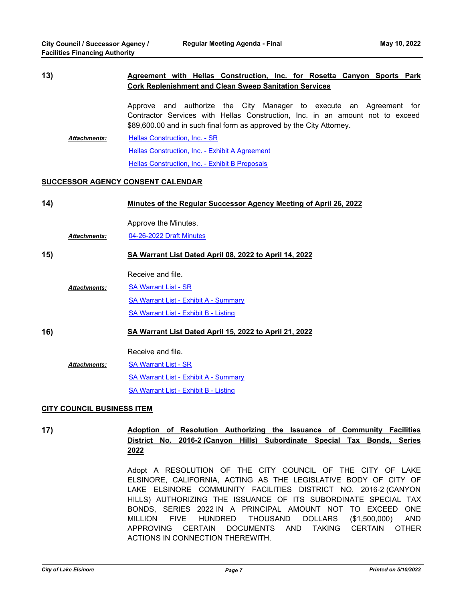# **13) Agreement with Hellas Construction, Inc. for Rosetta Canyon Sports Park Cork Replenishment and Clean Sweep Sanitation Services**

Approve and authorize the City Manager to execute an Agreement for Contractor Services with Hellas Construction, Inc. in an amount not to exceed \$89,600.00 and in such final form as approved by the City Attorney.

[Hellas Construction, Inc. - SR](http://lake-elsinore.legistar.com/gateway.aspx?M=F&ID=4607e169-90ee-4473-9340-94d7647fec9f.docx) [Hellas Construction, Inc. - Exhibit A Agreement](http://lake-elsinore.legistar.com/gateway.aspx?M=F&ID=c3738160-7a92-4d67-8cf6-de2b29bb0d22.docx) [Hellas Construction, Inc. - Exhibit B Proposals](http://lake-elsinore.legistar.com/gateway.aspx?M=F&ID=a41a14c2-c23c-4ad3-bb61-a4b5c96f3577.pdf) *Attachments:*

### **SUCCESSOR AGENCY CONSENT CALENDAR**

| 14)                               |                     | Minutes of the Regular Successor Agency Meeting of April 26, 2022 |
|-----------------------------------|---------------------|-------------------------------------------------------------------|
|                                   |                     | Approve the Minutes.                                              |
|                                   | <b>Attachments:</b> | 04-26-2022 Draft Minutes                                          |
| 15)                               |                     | SA Warrant List Dated April 08, 2022 to April 14, 2022            |
|                                   |                     | Receive and file.                                                 |
|                                   | <b>Attachments:</b> | <b>SA Warrant List - SR</b>                                       |
|                                   |                     | <b>SA Warrant List - Exhibit A - Summary</b>                      |
|                                   |                     | <b>SA Warrant List - Exhibit B - Listing</b>                      |
| 16)                               |                     | SA Warrant List Dated April 15, 2022 to April 21, 2022            |
|                                   |                     | Receive and file.                                                 |
|                                   | <b>Attachments:</b> | <b>SA Warrant List - SR</b>                                       |
|                                   |                     | <b>SA Warrant List - Exhibit A - Summary</b>                      |
|                                   |                     | SA Warrant List - Exhibit B - Listing                             |
| <b>CITY COUNCIL BUSINESS ITEM</b> |                     |                                                                   |

# **17) Adoption of Resolution Authorizing the Issuance of Community Facilities District No. 2016-2 (Canyon Hills) Subordinate Special Tax Bonds, Series 2022**

Adopt A RESOLUTION OF THE CITY COUNCIL OF THE CITY OF LAKE ELSINORE, CALIFORNIA, ACTING AS THE LEGISLATIVE BODY OF CITY OF LAKE ELSINORE COMMUNITY FACILITIES DISTRICT NO. 2016-2 (CANYON HILLS) AUTHORIZING THE ISSUANCE OF ITS SUBORDINATE SPECIAL TAX BONDS, SERIES 2022 IN A PRINCIPAL AMOUNT NOT TO EXCEED ONE MILLION FIVE HUNDRED THOUSAND DOLLARS (\$1,500,000) AND APPROVING CERTAIN DOCUMENTS AND TAKING CERTAIN OTHER ACTIONS IN CONNECTION THEREWITH.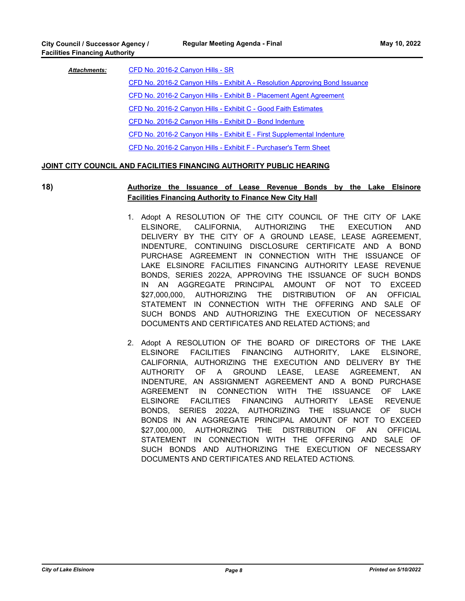| <b>Attachments:</b> | CFD No. 2016-2 Canyon Hills - SR                                             |
|---------------------|------------------------------------------------------------------------------|
|                     | CFD No. 2016-2 Canyon Hills - Exhibit A - Resolution Approving Bond Issuance |
|                     | CFD No. 2016-2 Canyon Hills - Exhibit B - Placement Agent Agreement          |
|                     | CFD No. 2016-2 Canyon Hills - Exhibit C - Good Faith Estimates               |
|                     | CFD No. 2016-2 Canyon Hills - Exhibit D - Bond Indenture                     |
|                     | CFD No. 2016-2 Canyon Hills - Exhibit E - First Supplemental Indenture       |
|                     | CFD No. 2016-2 Canyon Hills - Exhibit F - Purchaser's Term Sheet             |

### **JOINT CITY COUNCIL AND FACILITIES FINANCING AUTHORITY PUBLIC HEARING**

## **18) Authorize the Issuance of Lease Revenue Bonds by the Lake Elsinore Facilities Financing Authority to Finance New City Hall**

- 1. Adopt A RESOLUTION OF THE CITY COUNCIL OF THE CITY OF LAKE ELSINORE, CALIFORNIA, AUTHORIZING THE EXECUTION AND DELIVERY BY THE CITY OF A GROUND LEASE, LEASE AGREEMENT, INDENTURE, CONTINUING DISCLOSURE CERTIFICATE AND A BOND PURCHASE AGREEMENT IN CONNECTION WITH THE ISSUANCE OF LAKE ELSINORE FACILITIES FINANCING AUTHORITY LEASE REVENUE BONDS, SERIES 2022A, APPROVING THE ISSUANCE OF SUCH BONDS IN AN AGGREGATE PRINCIPAL AMOUNT OF NOT TO EXCEED \$27,000,000, AUTHORIZING THE DISTRIBUTION OF AN OFFICIAL STATEMENT IN CONNECTION WITH THE OFFERING AND SALE OF SUCH BONDS AND AUTHORIZING THE EXECUTION OF NECESSARY DOCUMENTS AND CERTIFICATES AND RELATED ACTIONS; and
- 2. Adopt A RESOLUTION OF THE BOARD OF DIRECTORS OF THE LAKE ELSINORE FACILITIES FINANCING AUTHORITY, LAKE ELSINORE, CALIFORNIA, AUTHORIZING THE EXECUTION AND DELIVERY BY THE AUTHORITY OF A GROUND LEASE, LEASE AGREEMENT, AN INDENTURE, AN ASSIGNMENT AGREEMENT AND A BOND PURCHASE AGREEMENT IN CONNECTION WITH THE ISSUANCE OF LAKE ELSINORE FACILITIES FINANCING AUTHORITY LEASE REVENUE BONDS, SERIES 2022A, AUTHORIZING THE ISSUANCE OF SUCH BONDS IN AN AGGREGATE PRINCIPAL AMOUNT OF NOT TO EXCEED \$27,000,000, AUTHORIZING THE DISTRIBUTION OF AN OFFICIAL STATEMENT IN CONNECTION WITH THE OFFERING AND SALE OF SUCH BONDS AND AUTHORIZING THE EXECUTION OF NECESSARY DOCUMENTS AND CERTIFICATES AND RELATED ACTIONS.